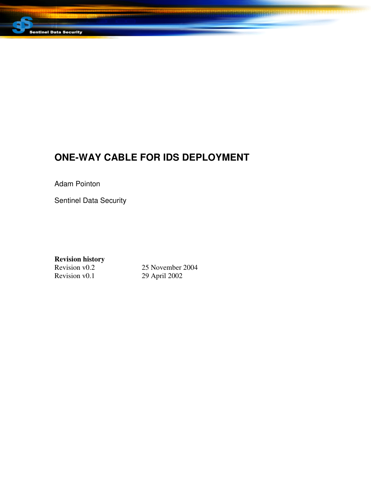

# **ONE-WAY CABLE FOR IDS DEPLOYMENT**

**BARBARA BARBARA** 

Adam Pointon

Sentinel Data Security

**Revision history**

Revision v0.2 25 November 2004<br>Revision v0.1 29 April 2002 29 April 2002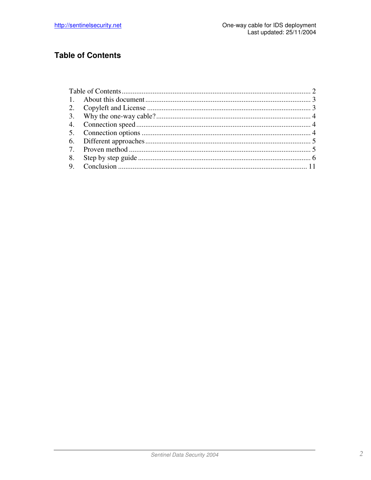## **Table of Contents**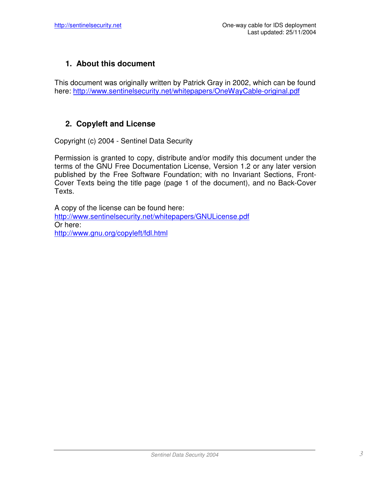### **1. About this document**

This document was originally written by Patrick Gray in 2002, which can be found here: http://www.sentinelsecurity.net/whitepapers/OneWayCable-original.pdf

### **2. Copyleft and License**

Copyright (c) 2004 - Sentinel Data Security

Permission is granted to copy, distribute and/or modify this document under the terms of the GNU Free Documentation License, Version 1.2 or any later version published by the Free Software Foundation; with no Invariant Sections, Front-Cover Texts being the title page (page 1 of the document), and no Back-Cover Texts.

A copy of the license can be found here: http://www.sentinelsecurity.net/whitepapers/GNULicense.pdf Or here: http://www.gnu.org/copyleft/fdl.html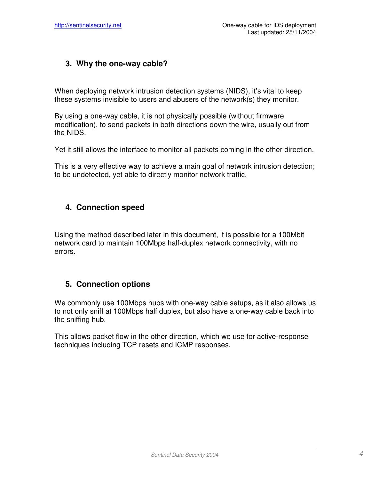### **3. Why the one-way cable?**

When deploying network intrusion detection systems (NIDS), it's vital to keep these systems invisible to users and abusers of the network(s) they monitor.

By using a one-way cable, it is not physically possible (without firmware modification), to send packets in both directions down the wire, usually out from the NIDS.

Yet it still allows the interface to monitor all packets coming in the other direction.

This is a very effective way to achieve a main goal of network intrusion detection; to be undetected, yet able to directly monitor network traffic.

### **4. Connection speed**

Using the method described later in this document, it is possible for a 100Mbit network card to maintain 100Mbps half-duplex network connectivity, with no errors.

### **5. Connection options**

We commonly use 100Mbps hubs with one-way cable setups, as it also allows us to not only sniff at 100Mbps half duplex, but also have a one-way cable back into the sniffing hub.

This allows packet flow in the other direction, which we use for active-response techniques including TCP resets and ICMP responses.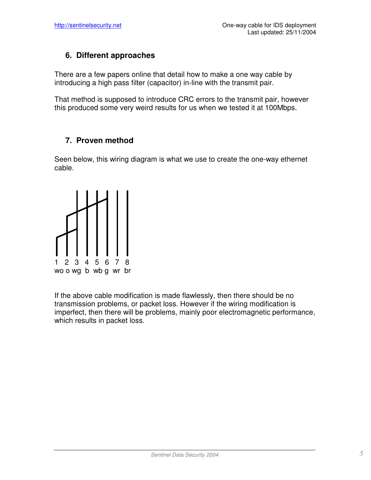### **6. Different approaches**

There are a few papers online that detail how to make a one way cable by introducing a high pass filter (capacitor) in-line with the transmit pair.

That method is supposed to introduce CRC errors to the transmit pair, however this produced some very weird results for us when we tested it at 100Mbps.

### **7. Proven method**

Seen below, this wiring diagram is what we use to create the one-way ethernet cable.



If the above cable modification is made flawlessly, then there should be no transmission problems, or packet loss. However if the wiring modification is imperfect, then there will be problems, mainly poor electromagnetic performance, which results in packet loss.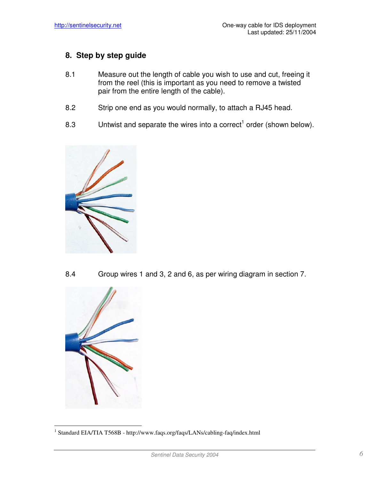### **8. Step by step guide**

- 8.1 Measure out the length of cable you wish to use and cut, freeing it from the reel (this is important as you need to remove a twisted pair from the entire length of the cable).
- 8.2 Strip one end as you would normally, to attach a RJ45 head.
- 8.3 Untwist and separate the wires into a correct<sup>1</sup> order (shown below).



8.4 Group wires 1 and 3, 2 and 6, as per wiring diagram in section 7.



<sup>&</sup>lt;sup>1</sup> Standard EIA/TIA T568B - http://www.faqs.org/faqs/LANs/cabling-faq/index.html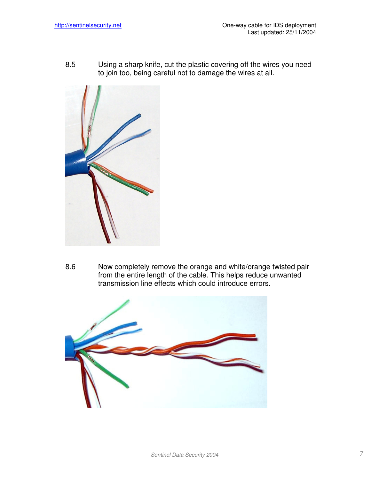8.5 Using a sharp knife, cut the plastic covering off the wires you need to join too, being careful not to damage the wires at all.



8.6 Now completely remove the orange and white/orange twisted pair from the entire length of the cable. This helps reduce unwanted transmission line effects which could introduce errors.

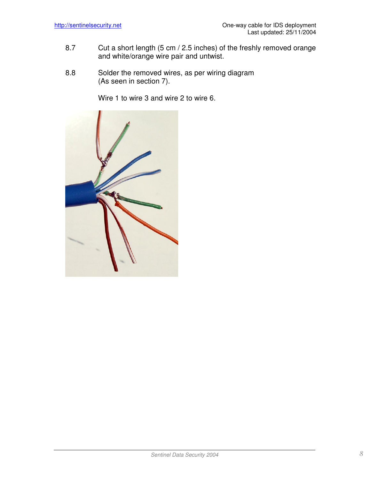- 8.7 Cut a short length (5 cm / 2.5 inches) of the freshly removed orange and white/orange wire pair and untwist.
- 8.8 Solder the removed wires, as per wiring diagram (As seen in section 7).

Wire 1 to wire 3 and wire 2 to wire 6.

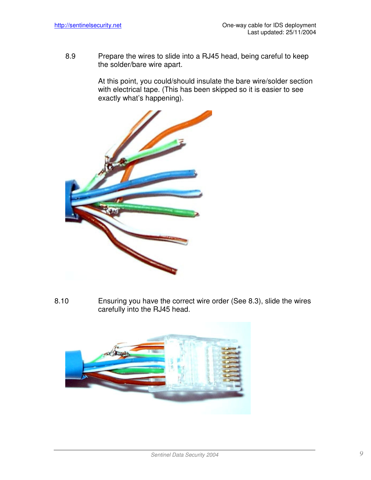8.9 Prepare the wires to slide into a RJ45 head, being careful to keep the solder/bare wire apart.

> At this point, you could/should insulate the bare wire/solder section with electrical tape. (This has been skipped so it is easier to see exactly what's happening).



8.10 Ensuring you have the correct wire order (See 8.3), slide the wires carefully into the RJ45 head.

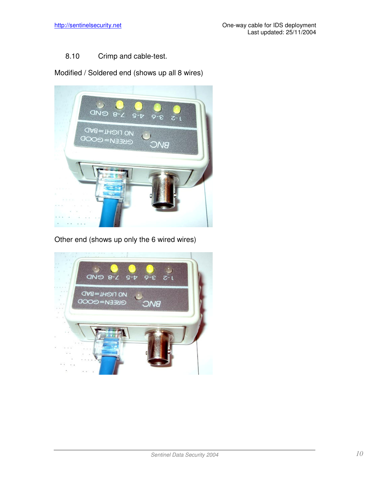#### 8.10 Crimp and cable-test.

Modified / Soldered end (shows up all 8 wires)



Other end (shows up only the 6 wired wires)

![](_page_9_Picture_6.jpeg)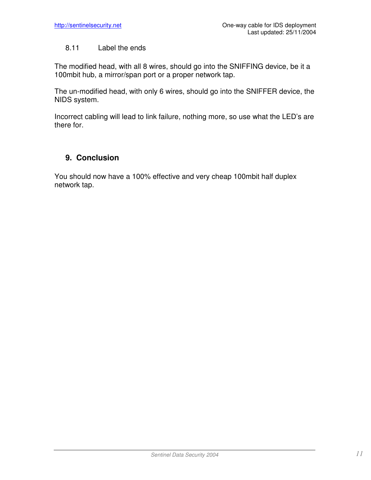#### 8.11 Label the ends

The modified head, with all 8 wires, should go into the SNIFFING device, be it a 100mbit hub, a mirror/span port or a proper network tap.

The un-modified head, with only 6 wires, should go into the SNIFFER device, the NIDS system.

Incorrect cabling will lead to link failure, nothing more, so use what the LED's are there for.

#### **9. Conclusion**

You should now have a 100% effective and very cheap 100mbit half duplex network tap.